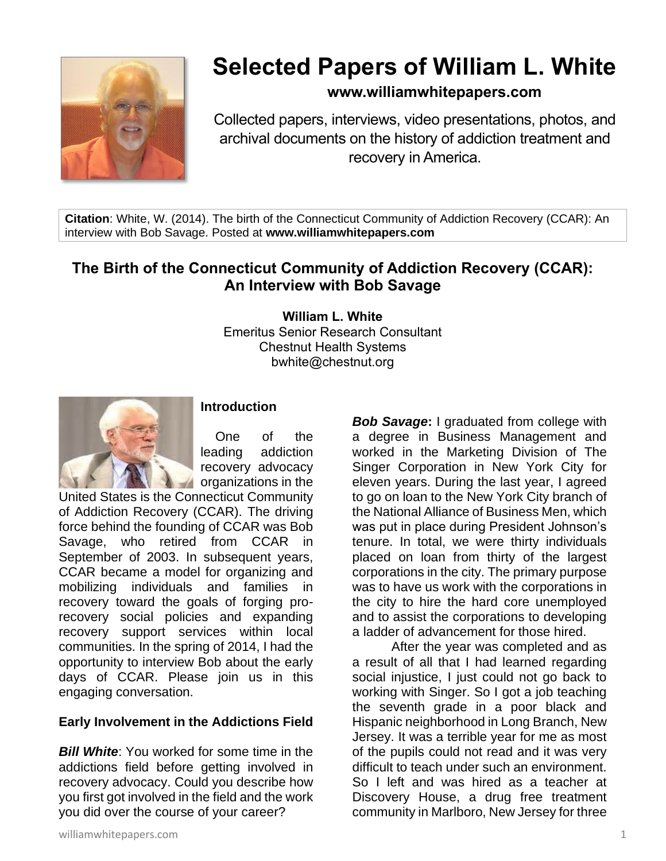

## **Selected Papers of William L. White**

## **www.williamwhitepapers.com**

Collected papers, interviews, video presentations, photos, and archival documents on the history of addiction treatment and recovery in America.

**Citation**: White, W. (2014). The birth of the Connecticut Community of Addiction Recovery (CCAR): An interview with Bob Savage. Posted at **www.williamwhitepapers.com**

## **The Birth of the Connecticut Community of Addiction Recovery (CCAR): An Interview with Bob Savage**

**William L. White** Emeritus Senior Research Consultant Chestnut Health Systems bwhite@chestnut.org



#### **Introduction**

One of the leading addiction recovery advocacy **organizations in the** 

United States is the Connecticut Community of Addiction Recovery (CCAR). The driving force behind the founding of CCAR was Bob Savage, who retired from CCAR in September of 2003. In subsequent years, CCAR became a model for organizing and mobilizing individuals and families in recovery toward the goals of forging prorecovery social policies and expanding recovery support services within local communities. In the spring of 2014, I had the opportunity to interview Bob about the early days of CCAR. Please join us in this engaging conversation.

## **Early Involvement in the Addictions Field**

*Bill White:* You worked for some time in the addictions field before getting involved in recovery advocacy. Could you describe how you first got involved in the field and the work you did over the course of your career?

*Bob Savage***:** I graduated from college with a degree in Business Management and worked in the Marketing Division of The Singer Corporation in New York City for eleven years. During the last year, I agreed to go on loan to the New York City branch of the National Alliance of Business Men, which was put in place during President Johnson's tenure. In total, we were thirty individuals placed on loan from thirty of the largest corporations in the city. The primary purpose was to have us work with the corporations in the city to hire the hard core unemployed and to assist the corporations to developing a ladder of advancement for those hired.

After the year was completed and as a result of all that I had learned regarding social injustice, I just could not go back to working with Singer. So I got a job teaching the seventh grade in a poor black and Hispanic neighborhood in Long Branch, New Jersey. It was a terrible year for me as most of the pupils could not read and it was very difficult to teach under such an environment. So I left and was hired as a teacher at Discovery House, a drug free treatment community in Marlboro, New Jersey for three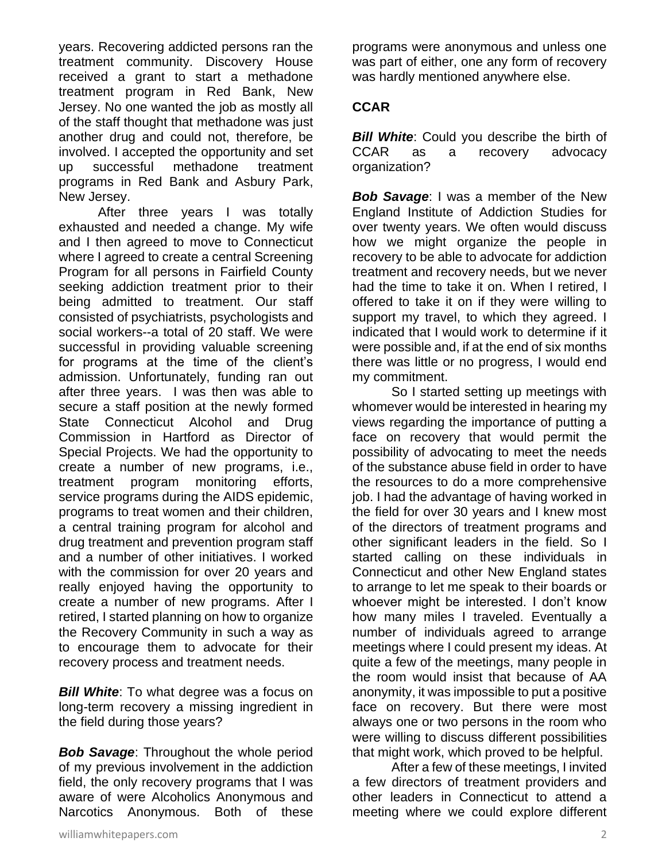years. Recovering addicted persons ran the treatment community. Discovery House received a grant to start a methadone treatment program in Red Bank, New Jersey. No one wanted the job as mostly all of the staff thought that methadone was just another drug and could not, therefore, be involved. I accepted the opportunity and set up successful methadone treatment programs in Red Bank and Asbury Park, New Jersey.

After three years I was totally exhausted and needed a change. My wife and I then agreed to move to Connecticut where I agreed to create a central Screening Program for all persons in Fairfield County seeking addiction treatment prior to their being admitted to treatment. Our staff consisted of psychiatrists, psychologists and social workers--a total of 20 staff. We were successful in providing valuable screening for programs at the time of the client's admission. Unfortunately, funding ran out after three years. I was then was able to secure a staff position at the newly formed State Connecticut Alcohol and Drug Commission in Hartford as Director of Special Projects. We had the opportunity to create a number of new programs, i.e., treatment program monitoring efforts, service programs during the AIDS epidemic, programs to treat women and their children, a central training program for alcohol and drug treatment and prevention program staff and a number of other initiatives. I worked with the commission for over 20 years and really enjoyed having the opportunity to create a number of new programs. After I retired, I started planning on how to organize the Recovery Community in such a way as to encourage them to advocate for their recovery process and treatment needs.

**Bill White:** To what degree was a focus on long-term recovery a missing ingredient in the field during those years?

*Bob Savage*: Throughout the whole period of my previous involvement in the addiction field, the only recovery programs that I was aware of were Alcoholics Anonymous and Narcotics Anonymous. Both of these

programs were anonymous and unless one was part of either, one any form of recovery was hardly mentioned anywhere else.

## **CCAR**

*Bill White:* Could you describe the birth of CCAR as a recovery advocacy organization?

*Bob Savage*: I was a member of the New England Institute of Addiction Studies for over twenty years. We often would discuss how we might organize the people in recovery to be able to advocate for addiction treatment and recovery needs, but we never had the time to take it on. When I retired, I offered to take it on if they were willing to support my travel, to which they agreed. I indicated that I would work to determine if it were possible and, if at the end of six months there was little or no progress, I would end my commitment.

So I started setting up meetings with whomever would be interested in hearing my views regarding the importance of putting a face on recovery that would permit the possibility of advocating to meet the needs of the substance abuse field in order to have the resources to do a more comprehensive job. I had the advantage of having worked in the field for over 30 years and I knew most of the directors of treatment programs and other significant leaders in the field. So I started calling on these individuals in Connecticut and other New England states to arrange to let me speak to their boards or whoever might be interested. I don't know how many miles I traveled. Eventually a number of individuals agreed to arrange meetings where I could present my ideas. At quite a few of the meetings, many people in the room would insist that because of AA anonymity, it was impossible to put a positive face on recovery. But there were most always one or two persons in the room who were willing to discuss different possibilities that might work, which proved to be helpful.

After a few of these meetings, I invited a few directors of treatment providers and other leaders in Connecticut to attend a meeting where we could explore different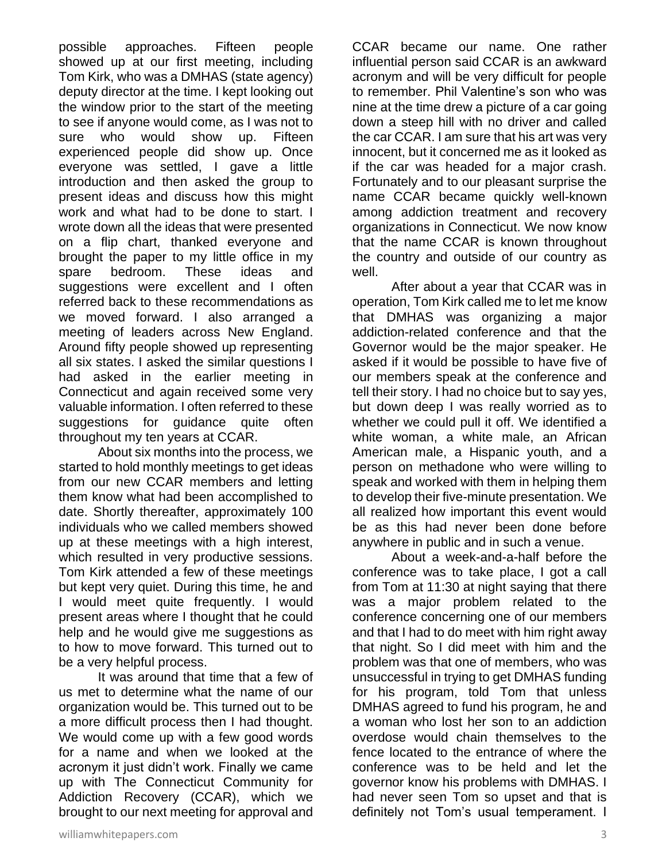possible approaches. Fifteen people showed up at our first meeting, including Tom Kirk, who was a DMHAS (state agency) deputy director at the time. I kept looking out the window prior to the start of the meeting to see if anyone would come, as I was not to sure who would show up. Fifteen experienced people did show up. Once everyone was settled, I gave a little introduction and then asked the group to present ideas and discuss how this might work and what had to be done to start. I wrote down all the ideas that were presented on a flip chart, thanked everyone and brought the paper to my little office in my spare bedroom. These ideas and suggestions were excellent and I often referred back to these recommendations as we moved forward. I also arranged a meeting of leaders across New England. Around fifty people showed up representing all six states. I asked the similar questions I had asked in the earlier meeting in Connecticut and again received some very valuable information. I often referred to these suggestions for guidance quite often throughout my ten years at CCAR.

About six months into the process, we started to hold monthly meetings to get ideas from our new CCAR members and letting them know what had been accomplished to date. Shortly thereafter, approximately 100 individuals who we called members showed up at these meetings with a high interest, which resulted in very productive sessions. Tom Kirk attended a few of these meetings but kept very quiet. During this time, he and I would meet quite frequently. I would present areas where I thought that he could help and he would give me suggestions as to how to move forward. This turned out to be a very helpful process.

It was around that time that a few of us met to determine what the name of our organization would be. This turned out to be a more difficult process then I had thought. We would come up with a few good words for a name and when we looked at the acronym it just didn't work. Finally we came up with The Connecticut Community for Addiction Recovery (CCAR), which we brought to our next meeting for approval and CCAR became our name. One rather influential person said CCAR is an awkward acronym and will be very difficult for people to remember. Phil Valentine's son who was nine at the time drew a picture of a car going down a steep hill with no driver and called the car CCAR. I am sure that his art was very innocent, but it concerned me as it looked as if the car was headed for a major crash. Fortunately and to our pleasant surprise the name CCAR became quickly well-known among addiction treatment and recovery organizations in Connecticut. We now know that the name CCAR is known throughout the country and outside of our country as well.

After about a year that CCAR was in operation, Tom Kirk called me to let me know that DMHAS was organizing a major addiction-related conference and that the Governor would be the major speaker. He asked if it would be possible to have five of our members speak at the conference and tell their story. I had no choice but to say yes, but down deep I was really worried as to whether we could pull it off. We identified a white woman, a white male, an African American male, a Hispanic youth, and a person on methadone who were willing to speak and worked with them in helping them to develop their five-minute presentation. We all realized how important this event would be as this had never been done before anywhere in public and in such a venue.

About a week-and-a-half before the conference was to take place, I got a call from Tom at 11:30 at night saying that there was a major problem related to the conference concerning one of our members and that I had to do meet with him right away that night. So I did meet with him and the problem was that one of members, who was unsuccessful in trying to get DMHAS funding for his program, told Tom that unless DMHAS agreed to fund his program, he and a woman who lost her son to an addiction overdose would chain themselves to the fence located to the entrance of where the conference was to be held and let the governor know his problems with DMHAS. I had never seen Tom so upset and that is definitely not Tom's usual temperament. I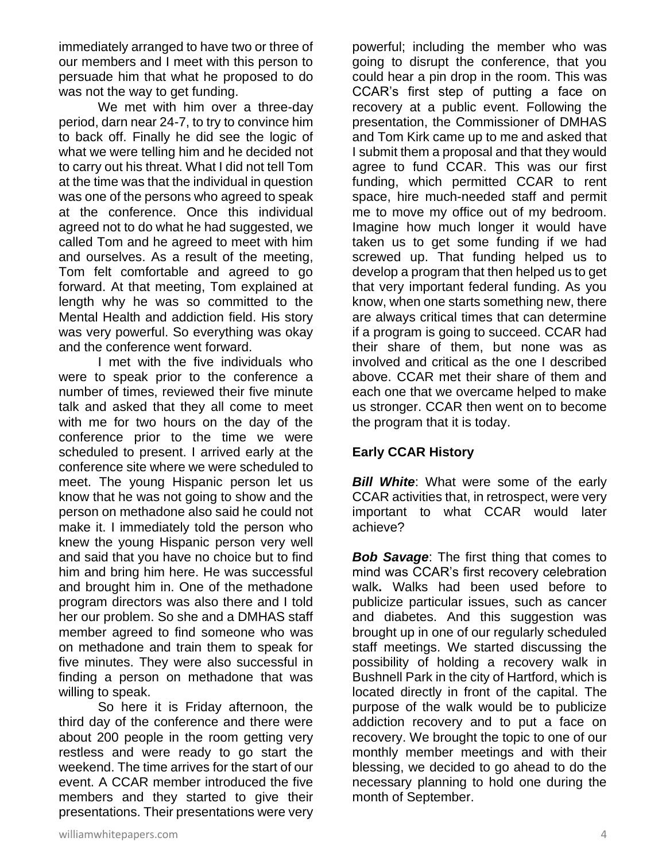immediately arranged to have two or three of our members and I meet with this person to persuade him that what he proposed to do was not the way to get funding.

We met with him over a three-day period, darn near 24-7, to try to convince him to back off. Finally he did see the logic of what we were telling him and he decided not to carry out his threat. What I did not tell Tom at the time was that the individual in question was one of the persons who agreed to speak at the conference. Once this individual agreed not to do what he had suggested, we called Tom and he agreed to meet with him and ourselves. As a result of the meeting, Tom felt comfortable and agreed to go forward. At that meeting, Tom explained at length why he was so committed to the Mental Health and addiction field. His story was very powerful. So everything was okay and the conference went forward.

I met with the five individuals who were to speak prior to the conference a number of times, reviewed their five minute talk and asked that they all come to meet with me for two hours on the day of the conference prior to the time we were scheduled to present. I arrived early at the conference site where we were scheduled to meet. The young Hispanic person let us know that he was not going to show and the person on methadone also said he could not make it. I immediately told the person who knew the young Hispanic person very well and said that you have no choice but to find him and bring him here. He was successful and brought him in. One of the methadone program directors was also there and I told her our problem. So she and a DMHAS staff member agreed to find someone who was on methadone and train them to speak for five minutes. They were also successful in finding a person on methadone that was willing to speak.

So here it is Friday afternoon, the third day of the conference and there were about 200 people in the room getting very restless and were ready to go start the weekend. The time arrives for the start of our event. A CCAR member introduced the five members and they started to give their presentations. Their presentations were very powerful; including the member who was going to disrupt the conference, that you could hear a pin drop in the room. This was CCAR's first step of putting a face on recovery at a public event. Following the presentation, the Commissioner of DMHAS and Tom Kirk came up to me and asked that I submit them a proposal and that they would agree to fund CCAR. This was our first funding, which permitted CCAR to rent space, hire much-needed staff and permit me to move my office out of my bedroom. Imagine how much longer it would have taken us to get some funding if we had screwed up. That funding helped us to develop a program that then helped us to get that very important federal funding. As you know, when one starts something new, there are always critical times that can determine if a program is going to succeed. CCAR had their share of them, but none was as involved and critical as the one I described above. CCAR met their share of them and each one that we overcame helped to make us stronger. CCAR then went on to become the program that it is today.

#### **Early CCAR History**

*Bill White*: What were some of the early CCAR activities that, in retrospect, were very important to what CCAR would later achieve?

*Bob Savage*: The first thing that comes to mind was CCAR's first recovery celebration walk**.** Walks had been used before to publicize particular issues, such as cancer and diabetes. And this suggestion was brought up in one of our regularly scheduled staff meetings. We started discussing the possibility of holding a recovery walk in Bushnell Park in the city of Hartford, which is located directly in front of the capital. The purpose of the walk would be to publicize addiction recovery and to put a face on recovery. We brought the topic to one of our monthly member meetings and with their blessing, we decided to go ahead to do the necessary planning to hold one during the month of September.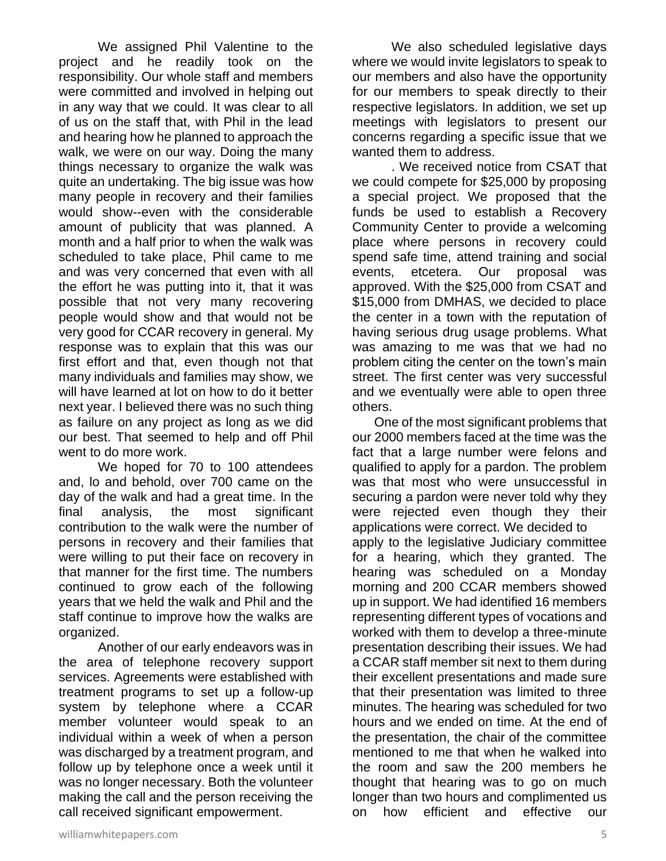We assigned Phil Valentine to the project and he readily took on the responsibility. Our whole staff and members were committed and involved in helping out in any way that we could. It was clear to all of us on the staff that, with Phil in the lead and hearing how he planned to approach the walk, we were on our way. Doing the many things necessary to organize the walk was quite an undertaking. The big issue was how many people in recovery and their families would show--even with the considerable amount of publicity that was planned. A month and a half prior to when the walk was scheduled to take place, Phil came to me and was very concerned that even with all the effort he was putting into it, that it was possible that not very many recovering people would show and that would not be very good for CCAR recovery in general. My response was to explain that this was our first effort and that, even though not that many individuals and families may show, we will have learned at lot on how to do it better next year. I believed there was no such thing as failure on any project as long as we did our best. That seemed to help and off Phil went to do more work.

We hoped for 70 to 100 attendees and, lo and behold, over 700 came on the day of the walk and had a great time. In the final analysis, the most significant contribution to the walk were the number of persons in recovery and their families that were willing to put their face on recovery in that manner for the first time. The numbers continued to grow each of the following years that we held the walk and Phil and the staff continue to improve how the walks are organized.

Another of our early endeavors was in the area of telephone recovery support services. Agreements were established with treatment programs to set up a follow-up system by telephone where a CCAR member volunteer would speak to an individual within a week of when a person was discharged by a treatment program, and follow up by telephone once a week until it was no longer necessary. Both the volunteer making the call and the person receiving the call received significant empowerment.

We also scheduled legislative days where we would invite legislators to speak to our members and also have the opportunity for our members to speak directly to their respective legislators. In addition, we set up meetings with legislators to present our concerns regarding a specific issue that we wanted them to address.

. We received notice from CSAT that we could compete for \$25,000 by proposing a special project. We proposed that the funds be used to establish a Recovery Community Center to provide a welcoming place where persons in recovery could spend safe time, attend training and social events, etcetera. Our proposal was approved. With the \$25,000 from CSAT and \$15,000 from DMHAS, we decided to place the center in a town with the reputation of having serious drug usage problems. What was amazing to me was that we had no problem citing the center on the town's main street. The first center was very successful and we eventually were able to open three others.

 One of the most significant problems that our 2000 members faced at the time was the fact that a large number were felons and qualified to apply for a pardon. The problem was that most who were unsuccessful in securing a pardon were never told why they were rejected even though they their applications were correct. We decided to apply to the legislative Judiciary committee for a hearing, which they granted. The hearing was scheduled on a Monday morning and 200 CCAR members showed up in support. We had identified 16 members representing different types of vocations and worked with them to develop a three-minute presentation describing their issues. We had a CCAR staff member sit next to them during their excellent presentations and made sure that their presentation was limited to three minutes. The hearing was scheduled for two hours and we ended on time. At the end of the presentation, the chair of the committee mentioned to me that when he walked into the room and saw the 200 members he thought that hearing was to go on much longer than two hours and complimented us on how efficient and effective our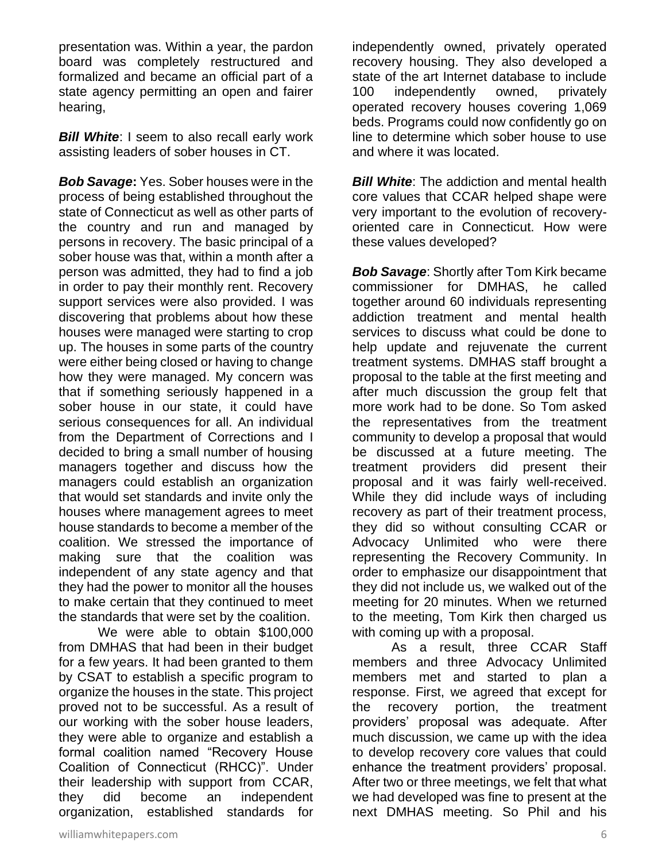presentation was. Within a year, the pardon board was completely restructured and formalized and became an official part of a state agency permitting an open and fairer hearing,

**Bill White:** I seem to also recall early work assisting leaders of sober houses in CT.

*Bob Savage***:** Yes. Sober houses were in the process of being established throughout the state of Connecticut as well as other parts of the country and run and managed by persons in recovery. The basic principal of a sober house was that, within a month after a person was admitted, they had to find a job in order to pay their monthly rent. Recovery support services were also provided. I was discovering that problems about how these houses were managed were starting to crop up. The houses in some parts of the country were either being closed or having to change how they were managed. My concern was that if something seriously happened in a sober house in our state, it could have serious consequences for all. An individual from the Department of Corrections and I decided to bring a small number of housing managers together and discuss how the managers could establish an organization that would set standards and invite only the houses where management agrees to meet house standards to become a member of the coalition. We stressed the importance of making sure that the coalition was independent of any state agency and that they had the power to monitor all the houses to make certain that they continued to meet the standards that were set by the coalition.

We were able to obtain \$100,000 from DMHAS that had been in their budget for a few years. It had been granted to them by CSAT to establish a specific program to organize the houses in the state. This project proved not to be successful. As a result of our working with the sober house leaders, they were able to organize and establish a formal coalition named "Recovery House Coalition of Connecticut (RHCC)". Under their leadership with support from CCAR, they did become an independent organization, established standards for

independently owned, privately operated recovery housing. They also developed a state of the art Internet database to include 100 independently owned, privately operated recovery houses covering 1,069 beds. Programs could now confidently go on line to determine which sober house to use and where it was located.

*Bill White:* The addiction and mental health core values that CCAR helped shape were very important to the evolution of recoveryoriented care in Connecticut. How were these values developed?

*Bob Savage*: Shortly after Tom Kirk became commissioner for DMHAS, he called together around 60 individuals representing addiction treatment and mental health services to discuss what could be done to help update and rejuvenate the current treatment systems. DMHAS staff brought a proposal to the table at the first meeting and after much discussion the group felt that more work had to be done. So Tom asked the representatives from the treatment community to develop a proposal that would be discussed at a future meeting. The treatment providers did present their proposal and it was fairly well-received. While they did include ways of including recovery as part of their treatment process, they did so without consulting CCAR or Advocacy Unlimited who were there representing the Recovery Community. In order to emphasize our disappointment that they did not include us, we walked out of the meeting for 20 minutes. When we returned to the meeting, Tom Kirk then charged us with coming up with a proposal.

As a result, three CCAR Staff members and three Advocacy Unlimited members met and started to plan a response. First, we agreed that except for the recovery portion, the treatment providers' proposal was adequate. After much discussion, we came up with the idea to develop recovery core values that could enhance the treatment providers' proposal. After two or three meetings, we felt that what we had developed was fine to present at the next DMHAS meeting. So Phil and his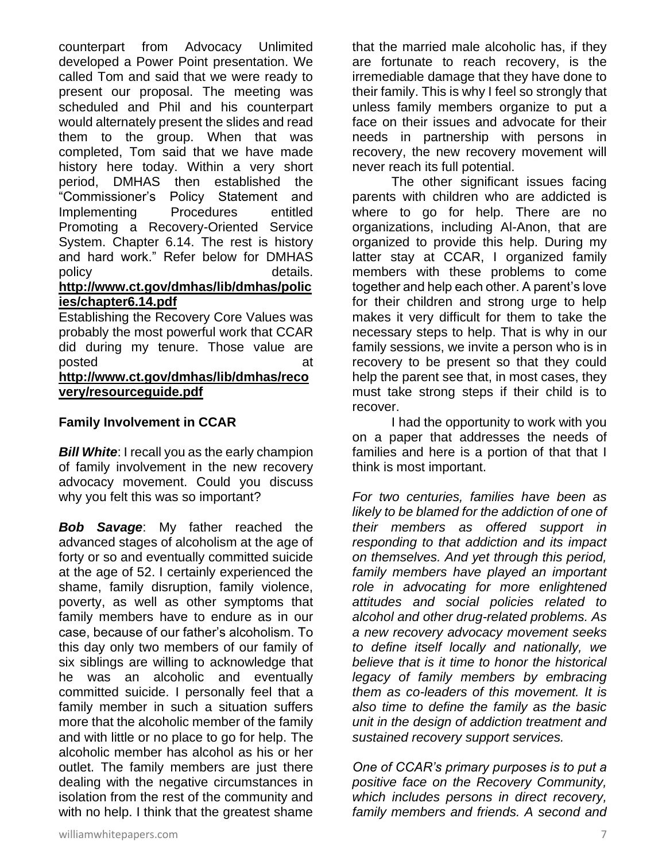counterpart from Advocacy Unlimited developed a Power Point presentation. We called Tom and said that we were ready to present our proposal. The meeting was scheduled and Phil and his counterpart would alternately present the slides and read them to the group. When that was completed, Tom said that we have made history here today. Within a very short period, DMHAS then established the "Commissioner's Policy Statement and Implementing Procedures entitled Promoting a Recovery-Oriented Service System. Chapter 6.14. The rest is history and hard work." Refer below for DMHAS policy and the contract of the details. **[http://www.ct.gov/dmhas/lib/dmhas/polic](http://www.ct.gov/dmhas/lib/dmhas/policies/chapter6.14.pdf)**

# **[ies/chapter6.14.pdf](http://www.ct.gov/dmhas/lib/dmhas/policies/chapter6.14.pdf)**

Establishing the Recovery Core Values was probably the most powerful work that CCAR did during my tenure. Those value are posted at a state at a state at a state  $\overline{a}$ **[http://www.ct.gov/dmhas/lib/dmhas/reco](http://www.ct.gov/dmhas/lib/dmhas/recovery/resourceguide.pdf) [very/resourceguide.pdf](http://www.ct.gov/dmhas/lib/dmhas/recovery/resourceguide.pdf)**

#### **Family Involvement in CCAR**

*Bill White*: I recall you as the early champion of family involvement in the new recovery advocacy movement. Could you discuss why you felt this was so important?

*Bob Savage*: My father reached the advanced stages of alcoholism at the age of forty or so and eventually committed suicide at the age of 52. I certainly experienced the shame, family disruption, family violence, poverty, as well as other symptoms that family members have to endure as in our case, because of our father's alcoholism. To this day only two members of our family of six siblings are willing to acknowledge that he was an alcoholic and eventually committed suicide. I personally feel that a family member in such a situation suffers more that the alcoholic member of the family and with little or no place to go for help. The alcoholic member has alcohol as his or her outlet. The family members are just there dealing with the negative circumstances in isolation from the rest of the community and with no help. I think that the greatest shame

that the married male alcoholic has, if they are fortunate to reach recovery, is the irremediable damage that they have done to their family. This is why I feel so strongly that unless family members organize to put a face on their issues and advocate for their needs in partnership with persons in recovery, the new recovery movement will never reach its full potential.

The other significant issues facing parents with children who are addicted is where to go for help. There are no organizations, including Al-Anon, that are organized to provide this help. During my latter stay at CCAR, I organized family members with these problems to come together and help each other. A parent's love for their children and strong urge to help makes it very difficult for them to take the necessary steps to help. That is why in our family sessions, we invite a person who is in recovery to be present so that they could help the parent see that, in most cases, they must take strong steps if their child is to recover.

I had the opportunity to work with you on a paper that addresses the needs of families and here is a portion of that that I think is most important.

*For two centuries, families have been as likely to be blamed for the addiction of one of their members as offered support in responding to that addiction and its impact on themselves. And yet through this period, family members have played an important role in advocating for more enlightened attitudes and social policies related to alcohol and other drug-related problems. As a new recovery advocacy movement seeks to define itself locally and nationally, we believe that is it time to honor the historical legacy of family members by embracing them as co-leaders of this movement. It is also time to define the family as the basic unit in the design of addiction treatment and sustained recovery support services.*

*One of CCAR's primary purposes is to put a positive face on the Recovery Community, which includes persons in direct recovery, family members and friends. A second and*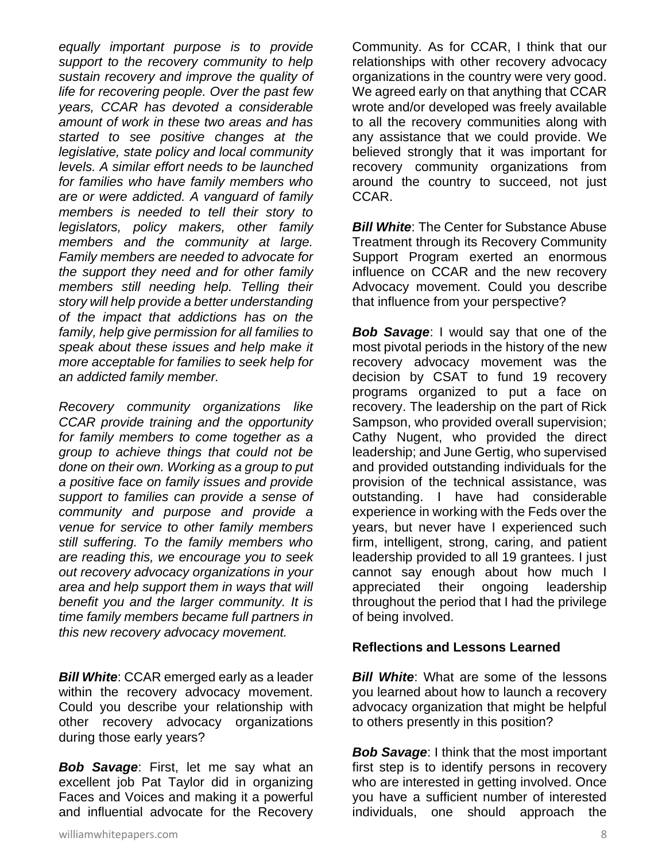*equally important purpose is to provide support to the recovery community to help sustain recovery and improve the quality of life for recovering people. Over the past few years, CCAR has devoted a considerable amount of work in these two areas and has started to see positive changes at the legislative, state policy and local community levels. A similar effort needs to be launched for families who have family members who are or were addicted. A vanguard of family members is needed to tell their story to legislators, policy makers, other family members and the community at large. Family members are needed to advocate for the support they need and for other family members still needing help. Telling their story will help provide a better understanding of the impact that addictions has on the family, help give permission for all families to speak about these issues and help make it more acceptable for families to seek help for an addicted family member.*

*Recovery community organizations like CCAR provide training and the opportunity for family members to come together as a group to achieve things that could not be done on their own. Working as a group to put a positive face on family issues and provide support to families can provide a sense of community and purpose and provide a venue for service to other family members still suffering. To the family members who are reading this, we encourage you to seek out recovery advocacy organizations in your area and help support them in ways that will benefit you and the larger community. It is time family members became full partners in this new recovery advocacy movement.*

*Bill White: CCAR emerged early as a leader* within the recovery advocacy movement. Could you describe your relationship with other recovery advocacy organizations during those early years?

*Bob Savage*: First, let me say what an excellent job Pat Taylor did in organizing Faces and Voices and making it a powerful and influential advocate for the Recovery Community. As for CCAR, I think that our relationships with other recovery advocacy organizations in the country were very good. We agreed early on that anything that CCAR wrote and/or developed was freely available to all the recovery communities along with any assistance that we could provide. We believed strongly that it was important for recovery community organizations from around the country to succeed, not just CCAR.

*Bill White:* The Center for Substance Abuse Treatment through its Recovery Community Support Program exerted an enormous influence on CCAR and the new recovery Advocacy movement. Could you describe that influence from your perspective?

*Bob Savage*: I would say that one of the most pivotal periods in the history of the new recovery advocacy movement was the decision by CSAT to fund 19 recovery programs organized to put a face on recovery. The leadership on the part of Rick Sampson, who provided overall supervision; Cathy Nugent, who provided the direct leadership; and June Gertig, who supervised and provided outstanding individuals for the provision of the technical assistance, was outstanding. I have had considerable experience in working with the Feds over the years, but never have I experienced such firm, intelligent, strong, caring, and patient leadership provided to all 19 grantees. I just cannot say enough about how much I appreciated their ongoing leadership throughout the period that I had the privilege of being involved.

#### **Reflections and Lessons Learned**

*Bill White*: What are some of the lessons you learned about how to launch a recovery advocacy organization that might be helpful to others presently in this position?

*Bob Savage*: I think that the most important first step is to identify persons in recovery who are interested in getting involved. Once you have a sufficient number of interested individuals, one should approach the